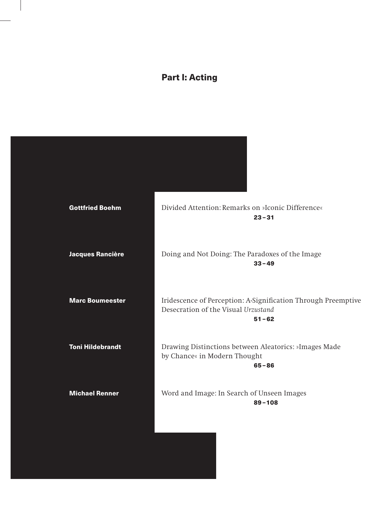## Part I: Acting

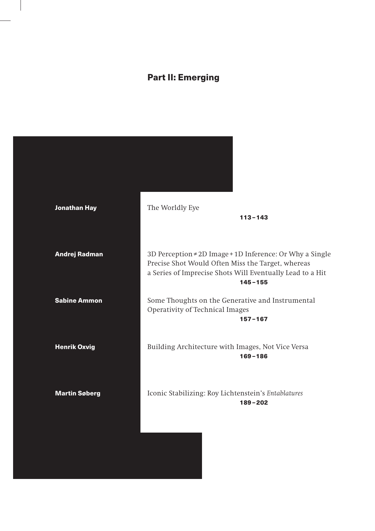## Part II: Emerging